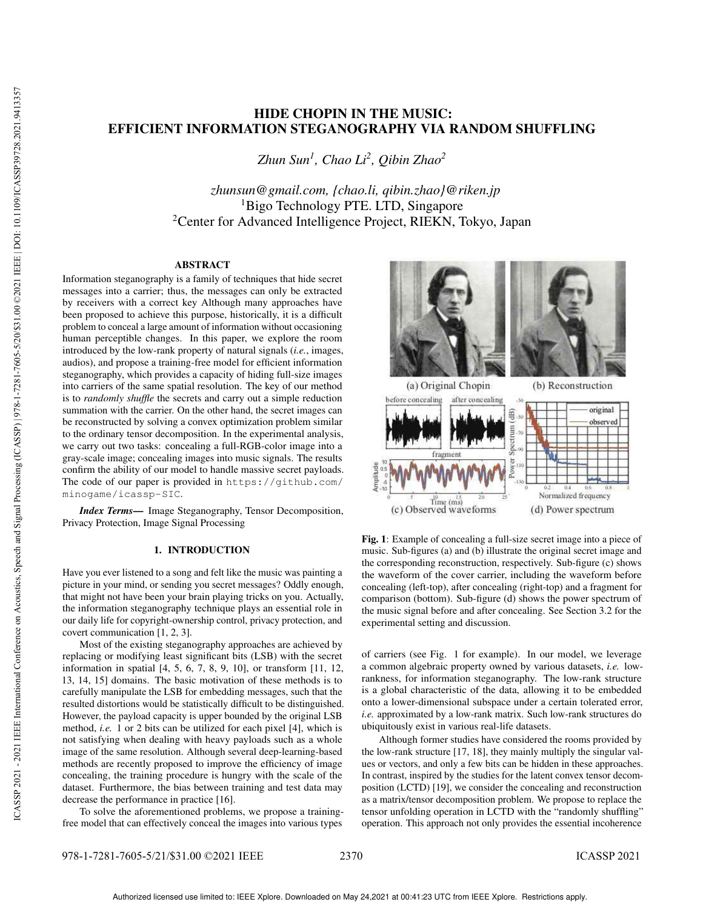# HIDE CHOPIN IN THE MUSIC: EFFICIENT INFORMATION STEGANOGRAPHY VIA RANDOM SHUFFLING

*Zhun Sun<sup>1</sup> , Chao Li<sup>2</sup> , Qibin Zhao<sup>2</sup>*

*zhunsun@gmail.com, {chao.li, qibin.zhao}@riken.jp* <sup>1</sup>Bigo Technology PTE. LTD, Singapore <sup>2</sup>Center for Advanced Intelligence Project, RIEKN, Tokyo, Japan

# ABSTRACT

Information steganography is a family of techniques that hide secret messages into a carrier; thus, the messages can only be extracted by receivers with a correct key Although many approaches have been proposed to achieve this purpose, historically, it is a difficult problem to conceal a large amount of information without occasioning human perceptible changes. In this paper, we explore the room introduced by the low-rank property of natural signals (*i.e.*, images, audios), and propose a training-free model for efficient information steganography, which provides a capacity of hiding full-size images into carriers of the same spatial resolution. The key of our method is to *randomly shuffle* the secrets and carry out a simple reduction summation with the carrier. On the other hand, the secret images can be reconstructed by solving a convex optimization problem similar to the ordinary tensor decomposition. In the experimental analysis, we carry out two tasks: concealing a full-RGB-color image into a gray-scale image; concealing images into music signals. The results confirm the ability of our model to handle massive secret payloads. The code of our paper is provided in https://github.com/ minogame/icassp-SIC.

*Index Terms*— Image Steganography, Tensor Decomposition, Privacy Protection, Image Signal Processing

# 1. INTRODUCTION

Have you ever listened to a song and felt like the music was painting a picture in your mind, or sending you secret messages? Oddly enough, that might not have been your brain playing tricks on you. Actually, the information steganography technique plays an essential role in our daily life for copyright-ownership control, privacy protection, and covert communication [1, 2, 3].

Most of the existing steganography approaches are achieved by replacing or modifying least significant bits (LSB) with the secret information in spatial [4, 5, 6, 7, 8, 9, 10], or transform [11, 12, 13, 14, 15] domains. The basic motivation of these methods is to carefully manipulate the LSB for embedding messages, such that the resulted distortions would be statistically difficult to be distinguished. However, the payload capacity is upper bounded by the original LSB method, *i.e.* 1 or 2 bits can be utilized for each pixel [4], which is not satisfying when dealing with heavy payloads such as a whole image of the same resolution. Although several deep-learning-based methods are recently proposed to improve the efficiency of image concealing, the training procedure is hungry with the scale of the dataset. Furthermore, the bias between training and test data may decrease the performance in practice [16].

To solve the aforementioned problems, we propose a trainingfree model that can effectively conceal the images into various types



Fig. 1: Example of concealing a full-size secret image into a piece of music. Sub-figures (a) and (b) illustrate the original secret image and the corresponding reconstruction, respectively. Sub-figure (c) shows the waveform of the cover carrier, including the waveform before concealing (left-top), after concealing (right-top) and a fragment for comparison (bottom). Sub-figure (d) shows the power spectrum of the music signal before and after concealing. See Section 3.2 for the experimental setting and discussion.

of carriers (see Fig. 1 for example). In our model, we leverage a common algebraic property owned by various datasets, *i.e.* lowrankness, for information steganography. The low-rank structure is a global characteristic of the data, allowing it to be embedded onto a lower-dimensional subspace under a certain tolerated error, *i.e.* approximated by a low-rank matrix. Such low-rank structures do ubiquitously exist in various real-life datasets.

Although former studies have considered the rooms provided by the low-rank structure [17, 18], they mainly multiply the singular values or vectors, and only a few bits can be hidden in these approaches. In contrast, inspired by the studies for the latent convex tensor decomposition (LCTD) [19], we consider the concealing and reconstruction as a matrix/tensor decomposition problem. We propose to replace the tensor unfolding operation in LCTD with the "randomly shuffling" operation. This approach not only provides the essential incoherence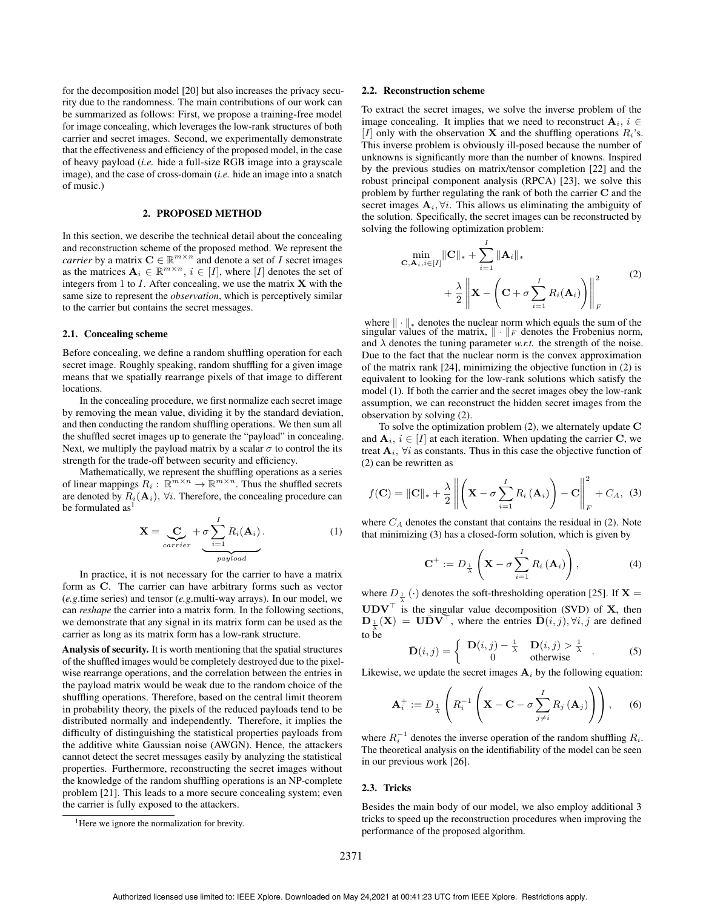for the decomposition model [20] but also increases the privacy security due to the randomness. The main contributions of our work can be summarized as follows: First, we propose a training-free model for image concealing, which leverages the low-rank structures of both carrier and secret images. Second, we experimentally demonstrate that the effectiveness and efficiency of the proposed model, in the case of heavy payload (*i.e.* hide a full-size RGB image into a grayscale image), and the case of cross-domain (*i.e.* hide an image into a snatch of music.)

# 2. PROPOSED METHOD

In this section, we describe the technical detail about the concealing and reconstruction scheme of the proposed method. We represent the *carrier* by a matrix  $C \in \mathbb{R}^{m \times n}$  and denote a set of *I* secret images as the matrices  $A_i \in \mathbb{R}^{m \times n}$ ,  $i \in [I]$ , where  $[I]$  denotes the set of integers from 1 to  $I$ . After concealing, we use the matrix  $X$  with the same size to represent the *observation*, which is perceptively similar to the carrier but contains the secret messages.

# 2.1. Concealing scheme

Before concealing, we define a random shuffling operation for each secret image. Roughly speaking, random shuffling for a given image means that we spatially rearrange pixels of that image to different locations.

In the concealing procedure, we first normalize each secret image by removing the mean value, dividing it by the standard deviation, and then conducting the random shuffling operations. We then sum all the shuffled secret images up to generate the "payload" in concealing. Next, we multiply the payload matrix by a scalar  $\sigma$  to control the its strength for the trade-off between security and efficiency.

Mathematically, we represent the shuffling operations as a series of linear mappings  $R_i: \mathbb{R}^{m \times n} \to \mathbb{R}^{m \times n}$ . Thus the shuffled secrets are denoted by  $R_i(\mathbf{A}_i)$ ,  $\forall i$ . Therefore, the concealing procedure can be formulated  $as<sup>1</sup>$ 

$$
\mathbf{X} = \underbrace{\mathbf{C}}_{carrier} + \underbrace{\sigma \sum_{i=1}^{I} R_i(\mathbf{A}_i)}_{payload}.
$$
 (1)

In practice, it is not necessary for the carrier to have a matrix form as C. The carrier can have arbitrary forms such as vector (*e.g*.time series) and tensor (*e.g*.multi-way arrays). In our model, we can *reshape* the carrier into a matrix form. In the following sections, we demonstrate that any signal in its matrix form can be used as the carrier as long as its matrix form has a low-rank structure.

Analysis of security. It is worth mentioning that the spatial structures of the shuffled images would be completely destroyed due to the pixelwise rearrange operations, and the correlation between the entries in the payload matrix would be weak due to the random choice of the shuffling operations. Therefore, based on the central limit theorem in probability theory, the pixels of the reduced payloads tend to be distributed normally and independently. Therefore, it implies the difficulty of distinguishing the statistical properties payloads from the additive white Gaussian noise (AWGN). Hence, the attackers cannot detect the secret messages easily by analyzing the statistical properties. Furthermore, reconstructing the secret images without the knowledge of the random shuffling operations is an NP-complete problem [21]. This leads to a more secure concealing system; even the carrier is fully exposed to the attackers.

#### 2.2. Reconstruction scheme

To extract the secret images, we solve the inverse problem of the image concealing. It implies that we need to reconstruct  $A_i$ ,  $i \in$ [I] only with the observation **X** and the shuffling operations  $R_i$ 's. This inverse problem is obviously ill-posed because the number of unknowns is significantly more than the number of knowns. Inspired by the previous studies on matrix/tensor completion [22] and the robust principal component analysis (RPCA) [23], we solve this problem by further regulating the rank of both the carrier C and the secret images  $A_i$ ,  $\forall i$ . This allows us eliminating the ambiguity of the solution. Specifically, the secret images can be reconstructed by solving the following optimization problem:

$$
\min_{\mathbf{C}, \mathbf{A}_i, i \in [I]} \|\mathbf{C}\|_{*} + \sum_{i=1}^{I} \|\mathbf{A}_i\|_{*} + \frac{\lambda}{2} \left\| \mathbf{X} - \left( \mathbf{C} + \sigma \sum_{i=1}^{I} R_i(\mathbf{A}_i) \right) \right\|_{F}^{2}
$$
\n(2)

where  $\|\cdot\|_*$  denotes the nuclear norm which equals the sum of the singular values of the matrix,  $\|\cdot\|_F$  denotes the Frobenius norm, and  $\lambda$  denotes the tuning parameter *w.r.t.* the strength of the noise. Due to the fact that the nuclear norm is the convex approximation of the matrix rank [24], minimizing the objective function in (2) is equivalent to looking for the low-rank solutions which satisfy the model (1). If both the carrier and the secret images obey the low-rank assumption, we can reconstruct the hidden secret images from the observation by solving (2).

To solve the optimization problem  $(2)$ , we alternately update  $C$ and  $A_i$ ,  $i \in [I]$  at each iteration. When updating the carrier C, we treat  $A_i$ ,  $\forall i$  as constants. Thus in this case the objective function of (2) can be rewritten as

$$
f(\mathbf{C}) = \|\mathbf{C}\|_{*} + \frac{\lambda}{2} \left\| \left( \mathbf{X} - \sigma \sum_{i=1}^{I} R_{i} \left( \mathbf{A}_{i} \right) \right) - \mathbf{C} \right\|_{F}^{2} + C_{A}, \quad (3)
$$

where  $C_A$  denotes the constant that contains the residual in (2). Note that minimizing (3) has a closed-form solution, which is given by

$$
\mathbf{C}^{+} := D_{\frac{1}{\lambda}}\left(\mathbf{X} - \sigma \sum_{i=1}^{I} R_{i}\left(\mathbf{A}_{i}\right)\right),\tag{4}
$$

where  $D_{\frac{1}{\lambda}}(\cdot)$  denotes the soft-thresholding operation [25]. If **X** =  $UDV^{\top}$  is the singular value decomposition (SVD) of X, then  $\mathbf{D}_{\frac{1}{\lambda}}(\mathbf{X}) = \mathbf{U} \bar{\mathbf{D}} \mathbf{V}^{\top}$ , where the entries  $\bar{\mathbf{D}}(i, j)$ ,  $\forall i, j$  are defined to be

$$
\bar{\mathbf{D}}(i,j) = \begin{cases} \mathbf{D}(i,j) - \frac{1}{\lambda} & \mathbf{D}(i,j) > \frac{1}{\lambda} \\ 0 & \text{otherwise} \end{cases}
$$
 (5)

Likewise, we update the secret images  $A_i$  by the following equation:

$$
\mathbf{A}_{i}^{+} := D_{\frac{1}{\lambda}}\left(R_{i}^{-1}\left(\mathbf{X}-\mathbf{C}-\sigma \sum_{j\neq i}^{I} R_{j}\left(\mathbf{A}_{j}\right)\right)\right), \quad (6)
$$

where  $R_i^{-1}$  denotes the inverse operation of the random shuffling  $R_i$ . The theoretical analysis on the identifiability of the model can be seen in our previous work [26].

## 2.3. Tricks

Besides the main body of our model, we also employ additional 3 tricks to speed up the reconstruction procedures when improving the performance of the proposed algorithm.

<sup>&</sup>lt;sup>1</sup>Here we ignore the normalization for brevity.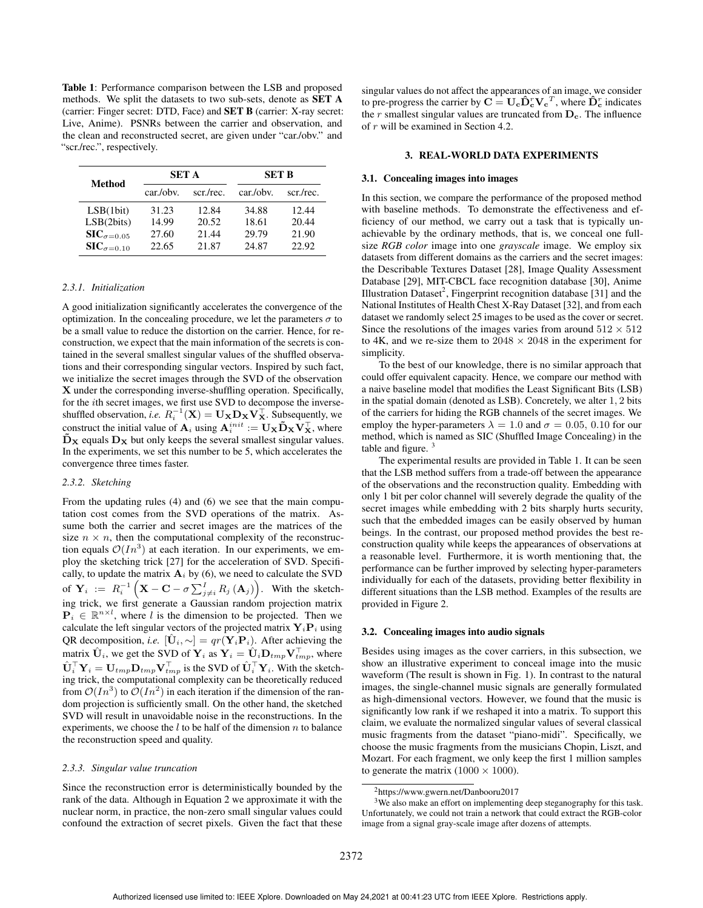Table 1: Performance comparison between the LSB and proposed methods. We split the datasets to two sub-sets, denote as SET A (carrier: Finger secret: DTD, Face) and SET B (carrier: X-ray secret: Live, Anime). PSNRs between the carrier and observation, and the clean and reconstructed secret, are given under "car./obv." and "scr./rec.", respectively.

| Method                       | <b>SET A</b> |           | <b>SET B</b> |           |
|------------------------------|--------------|-----------|--------------|-----------|
|                              | car./obv.    | scr./rec. | car/obv.     | scr./rec. |
| LSB(1bit)                    | 31.23        | 12.84     | 34.88        | 12.44     |
| LSB(2bits)                   | 14.99        | 20.52     | 18.61        | 20.44     |
| $\mathbf{SIC}_{\sigma=0.05}$ | 27.60        | 21.44     | 29.79        | 21.90     |
| $\mathbf{SIC}_{\sigma=0.10}$ | 22.65        | 21.87     | 24.87        | 22.92     |

# *2.3.1. Initialization*

A good initialization significantly accelerates the convergence of the optimization. In the concealing procedure, we let the parameters  $\sigma$  to be a small value to reduce the distortion on the carrier. Hence, for reconstruction, we expect that the main information of the secrets is contained in the several smallest singular values of the shuffled observations and their corresponding singular vectors. Inspired by such fact, we initialize the secret images through the SVD of the observation X under the corresponding inverse-shuffling operation. Specifically, for the ith secret images, we first use SVD to decompose the inverseshuffled observation, *i.e.*  $R_i^{-1}(\mathbf{X}) = \mathbf{U}_{\mathbf{X}} \mathbf{D}_{\mathbf{X}} \mathbf{V}_{\mathbf{X}}^{\top}$ . Subsequently, we construct the initial value of  $\mathbf{A}_i$  using  $\mathbf{A}_i^{init} := \mathbf{U}_{\mathbf{X}} \mathbf{D}_{\mathbf{X}} \mathbf{V}_{\mathbf{X}}^\top$ , where  $\bar{\mathbf{D}}_{\mathbf{X}}$  equals  $\mathbf{D}_{\mathbf{X}}$  but only keeps the several smallest singular values. In the experiments, we set this number to be 5, which accelerates the convergence three times faster.

#### *2.3.2. Sketching*

From the updating rules (4) and (6) we see that the main computation cost comes from the SVD operations of the matrix. Assume both the carrier and secret images are the matrices of the size  $n \times n$ , then the computational complexity of the reconstruction equals  $\mathcal{O}(In^3)$  at each iteration. In our experiments, we employ the sketching trick [27] for the acceleration of SVD. Specifically, to update the matrix  $A_i$  by (6), we need to calculate the SVD of  $\mathbf{Y}_i := R_i^{-1} \left( \mathbf{X} - \mathbf{C} - \sigma \sum_{j \neq i}^I R_j \left( \mathbf{A}_j \right) \right)$ . With the sketching trick, we first generate a Gaussian random projection matrix  $\overline{P_i} \in \mathbb{R}^{n \times l}$ , where l is the dimension to be projected. Then we calculate the left singular vectors of the projected matrix  $\mathbf{Y}_i \mathbf{P}_i$  using QR decomposition, *i.e.*  $[\mathbf{U}_i, \sim] = qr(\mathbf{Y}_i \mathbf{P}_i)$ . After achieving the matrix  $\hat{\mathbf{U}}_i$ , we get the SVD of  $\mathbf{Y}_i$  as  $\mathbf{Y}_i = \hat{\mathbf{U}}_i \mathbf{D}_{tmp} \mathbf{V}_{tmp}^\top,$  where  $\hat{\mathbf{U}}_i^{\top} \mathbf{Y}_i = \mathbf{U}_{tmp} \mathbf{D}_{tmp} \mathbf{V}_{tmp}^{\top}$  is the SVD of  $\hat{\mathbf{U}}_i^{\top} \mathbf{Y}_i$ . With the sketching trick, the computational complexity can be theoretically reduced from  $\mathcal{O}(In^3)$  to  $\mathcal{O}(In^2)$  in each iteration if the dimension of the random projection is sufficiently small. On the other hand, the sketched SVD will result in unavoidable noise in the reconstructions. In the experiments, we choose the  $l$  to be half of the dimension  $n$  to balance the reconstruction speed and quality.

#### *2.3.3. Singular value truncation*

Since the reconstruction error is deterministically bounded by the rank of the data. Although in Equation 2 we approximate it with the nuclear norm, in practice, the non-zero small singular values could confound the extraction of secret pixels. Given the fact that these

singular values do not affect the appearances of an image, we consider to pre-progress the carrier by  $\mathbf{C} = \mathbf{U_c} \hat{\mathbf{D}}_c^T \mathbf{V_c}^T$ , where  $\hat{\mathbf{D}}_c^T$  indicates the  $r$  smallest singular values are truncated from  $D_c$ . The influence of r will be examined in Section 4.2.

#### 3. REAL-WORLD DATA EXPERIMENTS

#### 3.1. Concealing images into images

In this section, we compare the performance of the proposed method with baseline methods. To demonstrate the effectiveness and efficiency of our method, we carry out a task that is typically unachievable by the ordinary methods, that is, we conceal one fullsize *RGB color* image into one *grayscale* image. We employ six datasets from different domains as the carriers and the secret images: the Describable Textures Dataset [28], Image Quality Assessment Database [29], MIT-CBCL face recognition database [30], Anime Illustration Dataset<sup>2</sup>, Fingerprint recognition database [31] and the National Institutes of Health Chest X-Ray Dataset [32], and from each dataset we randomly select 25 images to be used as the cover or secret. Since the resolutions of the images varies from around  $512 \times 512$ to 4K, and we re-size them to  $2048 \times 2048$  in the experiment for simplicity.

To the best of our knowledge, there is no similar approach that could offer equivalent capacity. Hence, we compare our method with a naive baseline model that modifies the Least Significant Bits (LSB) in the spatial domain (denoted as LSB). Concretely, we alter 1, 2 bits of the carriers for hiding the RGB channels of the secret images. We employ the hyper-parameters  $\lambda = 1.0$  and  $\sigma = 0.05, 0.10$  for our method, which is named as SIC (Shuffled Image Concealing) in the table and figure.  $3$ 

The experimental results are provided in Table 1. It can be seen that the LSB method suffers from a trade-off between the appearance of the observations and the reconstruction quality. Embedding with only 1 bit per color channel will severely degrade the quality of the secret images while embedding with 2 bits sharply hurts security, such that the embedded images can be easily observed by human beings. In the contrast, our proposed method provides the best reconstruction quality while keeps the appearances of observations at a reasonable level. Furthermore, it is worth mentioning that, the performance can be further improved by selecting hyper-parameters individually for each of the datasets, providing better flexibility in different situations than the LSB method. Examples of the results are provided in Figure 2.

## 3.2. Concealing images into audio signals

Besides using images as the cover carriers, in this subsection, we show an illustrative experiment to conceal image into the music waveform (The result is shown in Fig. 1). In contrast to the natural images, the single-channel music signals are generally formulated as high-dimensional vectors. However, we found that the music is significantly low rank if we reshaped it into a matrix. To support this claim, we evaluate the normalized singular values of several classical music fragments from the dataset "piano-midi". Specifically, we choose the music fragments from the musicians Chopin, Liszt, and Mozart. For each fragment, we only keep the first 1 million samples to generate the matrix  $(1000 \times 1000)$ .

<sup>3</sup>We also make an effort on implementing deep steganography for this task. Unfortunately, we could not train a network that could extract the RGB-color image from a signal gray-scale image after dozens of attempts.

<sup>2</sup>https://www.gwern.net/Danbooru2017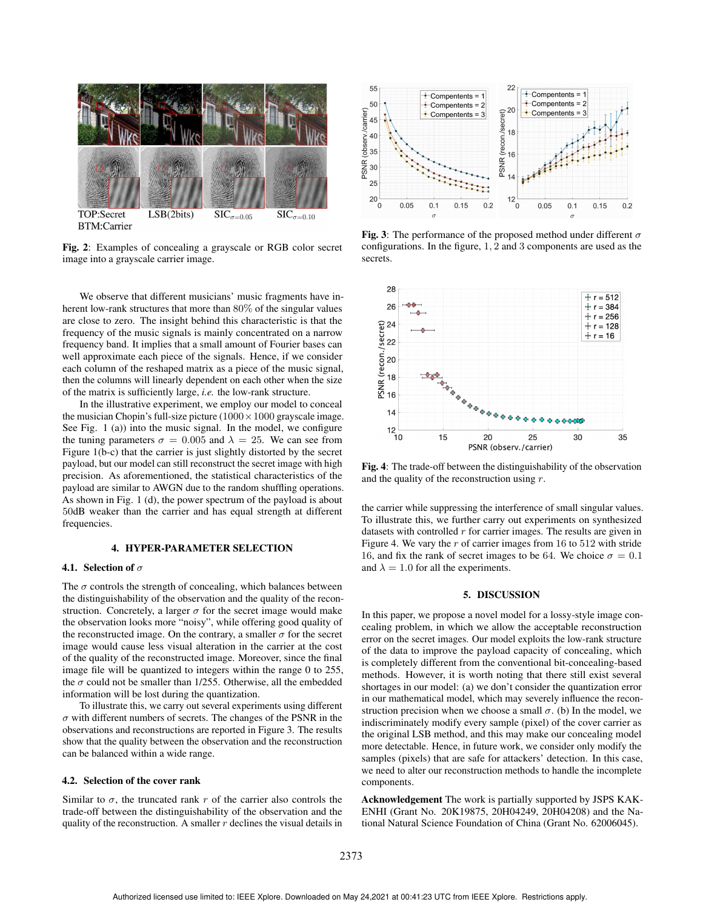

Fig. 2: Examples of concealing a grayscale or RGB color secret image into a grayscale carrier image.

We observe that different musicians' music fragments have inherent low-rank structures that more than 80% of the singular values are close to zero. The insight behind this characteristic is that the frequency of the music signals is mainly concentrated on a narrow frequency band. It implies that a small amount of Fourier bases can well approximate each piece of the signals. Hence, if we consider each column of the reshaped matrix as a piece of the music signal, then the columns will linearly dependent on each other when the size of the matrix is sufficiently large, *i.e.* the low-rank structure.

In the illustrative experiment, we employ our model to conceal the musician Chopin's full-size picture  $(1000 \times 1000)$  grayscale image. See Fig. 1 (a)) into the music signal. In the model, we configure the tuning parameters  $\sigma = 0.005$  and  $\lambda = 25$ . We can see from Figure 1(b-c) that the carrier is just slightly distorted by the secret payload, but our model can still reconstruct the secret image with high precision. As aforementioned, the statistical characteristics of the payload are similar to AWGN due to the random shuffling operations. As shown in Fig. 1 (d), the power spectrum of the payload is about 50dB weaker than the carrier and has equal strength at different frequencies.

# 4. HYPER-PARAMETER SELECTION

# 4.1. Selection of  $\sigma$

The  $\sigma$  controls the strength of concealing, which balances between the distinguishability of the observation and the quality of the reconstruction. Concretely, a larger  $\sigma$  for the secret image would make the observation looks more "noisy", while offering good quality of the reconstructed image. On the contrary, a smaller  $\sigma$  for the secret image would cause less visual alteration in the carrier at the cost of the quality of the reconstructed image. Moreover, since the final image file will be quantized to integers within the range 0 to 255, the  $\sigma$  could not be smaller than 1/255. Otherwise, all the embedded information will be lost during the quantization.

To illustrate this, we carry out several experiments using different  $\sigma$  with different numbers of secrets. The changes of the PSNR in the observations and reconstructions are reported in Figure 3. The results show that the quality between the observation and the reconstruction can be balanced within a wide range.

# 4.2. Selection of the cover rank

Similar to  $\sigma$ , the truncated rank r of the carrier also controls the trade-off between the distinguishability of the observation and the quality of the reconstruction. A smaller  $r$  declines the visual details in



Fig. 3: The performance of the proposed method under different  $\sigma$ configurations. In the figure, 1, 2 and 3 components are used as the secrets.



Fig. 4: The trade-off between the distinguishability of the observation and the quality of the reconstruction using  $r$ .

the carrier while suppressing the interference of small singular values. To illustrate this, we further carry out experiments on synthesized datasets with controlled  $r$  for carrier images. The results are given in Figure 4. We vary the  $r$  of carrier images from 16 to 512 with stride 16, and fix the rank of secret images to be 64. We choice  $\sigma = 0.1$ and  $\lambda = 1.0$  for all the experiments.

# 5. DISCUSSION

In this paper, we propose a novel model for a lossy-style image concealing problem, in which we allow the acceptable reconstruction error on the secret images. Our model exploits the low-rank structure of the data to improve the payload capacity of concealing, which is completely different from the conventional bit-concealing-based methods. However, it is worth noting that there still exist several shortages in our model: (a) we don't consider the quantization error in our mathematical model, which may severely influence the reconstruction precision when we choose a small  $\sigma$ . (b) In the model, we indiscriminately modify every sample (pixel) of the cover carrier as the original LSB method, and this may make our concealing model more detectable. Hence, in future work, we consider only modify the samples (pixels) that are safe for attackers' detection. In this case, we need to alter our reconstruction methods to handle the incomplete components.

Acknowledgement The work is partially supported by JSPS KAK-ENHI (Grant No. 20K19875, 20H04249, 20H04208) and the National Natural Science Foundation of China (Grant No. 62006045).